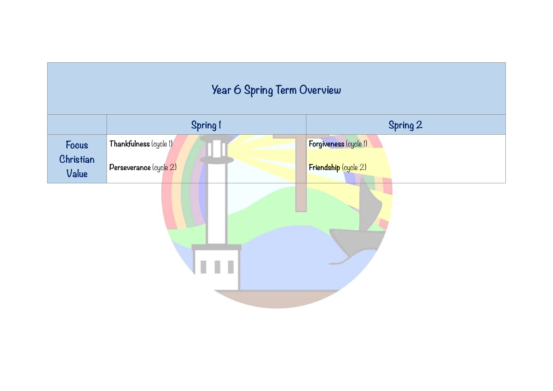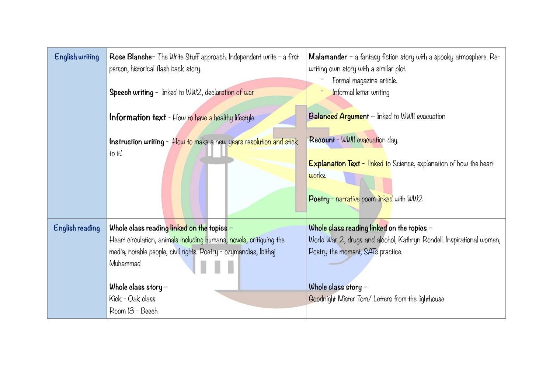| <b>English writing</b> | Rose Blanche- The Write Stuff approach. Independent write - a first<br>person, historical flash back story.<br>Speech writing - linked to WW2, declaration of war | <b>Malamander</b> $-$ a fantasy fiction story with a spooky atmosphere. $Re$ -<br>writing own story with a similar plot.<br>Formal magazine article.<br>Informal letter writing |
|------------------------|-------------------------------------------------------------------------------------------------------------------------------------------------------------------|---------------------------------------------------------------------------------------------------------------------------------------------------------------------------------|
|                        | <b>Information text</b> - How to have a healthy lifestyle.                                                                                                        | Balanced Argument - linked to WWII evacuation                                                                                                                                   |
|                        | Instruction writing - How to make a new years resolution and stick<br>to it!                                                                                      | Recount - WWII evacuation day.                                                                                                                                                  |
|                        |                                                                                                                                                                   | <b>Explanation Text</b> - linked to Science, explanation of how the heart<br>works.                                                                                             |
|                        |                                                                                                                                                                   | Poetry - narrative poem linked with WW2                                                                                                                                         |
| English reading        | Whole class reading linked on the topics $-$                                                                                                                      | Whole class reading linked on the topics $-$                                                                                                                                    |
|                        | Heart circulation, animals including humans, novels, critiquing the                                                                                               | World War 2, drugs and alcohol, Kathryn Rondell. Inspirational women,                                                                                                           |
|                        | media, notable people, civil rights. Poetry - ozymandias, Ibithaj                                                                                                 | Poetry the moment, SATs practice.                                                                                                                                               |
|                        | Muhammad                                                                                                                                                          |                                                                                                                                                                                 |
|                        | Whole class story $-$                                                                                                                                             | Whole class story $-$                                                                                                                                                           |
|                        | Kick - Oak class                                                                                                                                                  | Goodnight Mister Tom/ Letters from the lighthouse                                                                                                                               |
|                        | Room 13 - Beech                                                                                                                                                   |                                                                                                                                                                                 |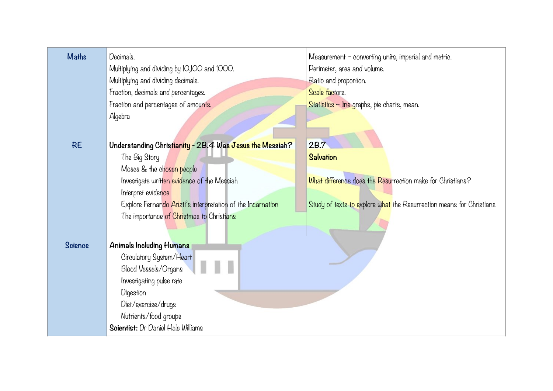| <b>Maths</b>   | Decimals.<br>Multiplying and dividing by 10,100 and 1000.<br>Multiplying and dividing decimals.<br>Fraction, decimals and percentages.<br>Fraction and percentages of amounts.<br>Algebra                                                                                               | Measurement - converting units, imperial and metric.<br>Perimeter, area and volume.<br>Ratio and proportion.<br>Scale factors.<br>Statistics - line graphs, pie charts, mean. |
|----------------|-----------------------------------------------------------------------------------------------------------------------------------------------------------------------------------------------------------------------------------------------------------------------------------------|-------------------------------------------------------------------------------------------------------------------------------------------------------------------------------|
| <b>RE</b>      | Understanding Christianity - 2B.4 Was Jesus the Messiah?<br>The Big Story<br>Moses & the chosen people<br>Investigate written evidence of the Messiah<br>Interpret evidence<br>Explore Fernando Arizti's interpretation of the Incarnation<br>The importance of Christmas to Christians | 2B.7<br><b>Salvation</b><br>What difference does the Resurrection make for Christians?<br>Study of texts to explore what the Resurrection means for Christians                |
| <b>Science</b> | Animals Including Humans<br>Circulatory System/Heart<br>Blood Vessels/Organs<br>Investigating pulse rate<br>Digestion<br>Diet/exercise/drugs<br>Nutrients/food groups<br>Scientist: Dr Daniel Hale Williams                                                                             |                                                                                                                                                                               |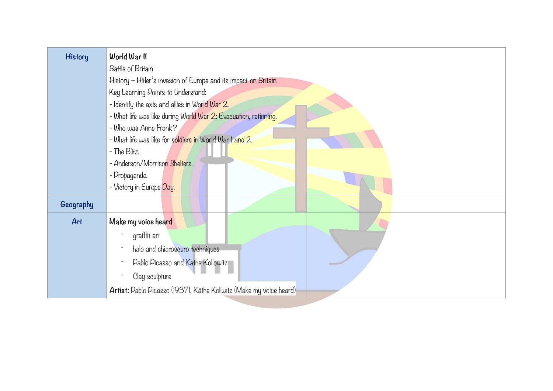| <b>History</b> | World War II                                                       |
|----------------|--------------------------------------------------------------------|
|                | Battle of Britain                                                  |
|                | History - Hitler's invasion of Europe and its impact on Britain.   |
|                | Key Learning Points to Understand:                                 |
|                | - Identify the axis and allies in World War 2.                     |
|                | - What life was like during World War 2: Evacuation, rationing.    |
|                | - Who was Anne Frank?                                              |
|                | - What life was like for soldiers in World War I and 2.            |
|                | - The Blitz.                                                       |
|                | - Anderson/Morrison Shelters.                                      |
|                | - Propaganda.                                                      |
|                | - Victory in Europe Day.                                           |
| Geography      |                                                                    |
| Art            | Make my voice heard                                                |
|                | graffiti art                                                       |
|                | halo and chiaroscuro techniques                                    |
|                | Pablo Picasso and Kathe Kollowitz                                  |
|                | Clay sculpture                                                     |
|                | Artist: Pablo Picasso (1937), Käthe Kollwitz (Make my voice heard) |
|                |                                                                    |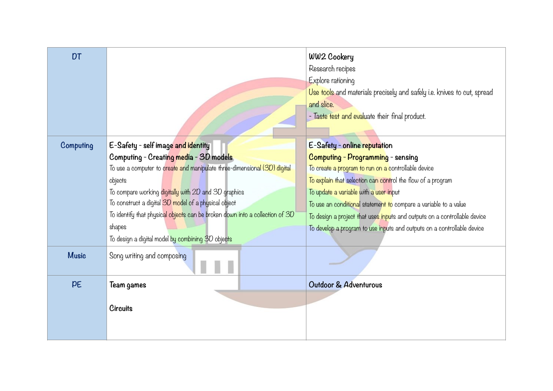|                                                   |                                                      | WW2 Cookery                                                                                                                                                                                                       |
|---------------------------------------------------|------------------------------------------------------|-------------------------------------------------------------------------------------------------------------------------------------------------------------------------------------------------------------------|
|                                                   |                                                      | Research recipes                                                                                                                                                                                                  |
|                                                   |                                                      | Explore rationing                                                                                                                                                                                                 |
|                                                   |                                                      | Use tools and materials precisely and safely i.e. knives to cut, spread                                                                                                                                           |
|                                                   |                                                      | and slice.                                                                                                                                                                                                        |
|                                                   |                                                      | - Taste test and evaluate their final product.                                                                                                                                                                    |
|                                                   |                                                      |                                                                                                                                                                                                                   |
| E-Safety - self image and identity                |                                                      | E-Safety - online reputation                                                                                                                                                                                      |
| Computing - Creating media - 3D models            |                                                      | Computing - Programming - sensing                                                                                                                                                                                 |
|                                                   |                                                      | To create a program to run on a controllable device                                                                                                                                                               |
| objects                                           |                                                      | To explain that selection can control the flow of a program                                                                                                                                                       |
|                                                   |                                                      | To update a variable with a user input                                                                                                                                                                            |
|                                                   |                                                      | To use an conditional statement to compare a variable to a value                                                                                                                                                  |
|                                                   |                                                      | To design a project that uses inputs and outputs on a controllable device                                                                                                                                         |
| shapes                                            |                                                      | To develop a program to use inputs and outputs on a controllable device                                                                                                                                           |
| To design a digital model by combining 3D objects |                                                      |                                                                                                                                                                                                                   |
| Song writing and composing                        |                                                      |                                                                                                                                                                                                                   |
| Team games                                        |                                                      | Outdoor & Adventurous                                                                                                                                                                                             |
|                                                   |                                                      |                                                                                                                                                                                                                   |
| <b>Circuits</b>                                   |                                                      |                                                                                                                                                                                                                   |
|                                                   |                                                      |                                                                                                                                                                                                                   |
|                                                   |                                                      |                                                                                                                                                                                                                   |
|                                                   | To construct a digital 3D model of a physical object | To use a computer to create and manipulate three-dimensional (3D) digital<br>To compare working digitally with 2D and 3D graphics<br>To identify that physical objects can be broken down into a collection of 3D |